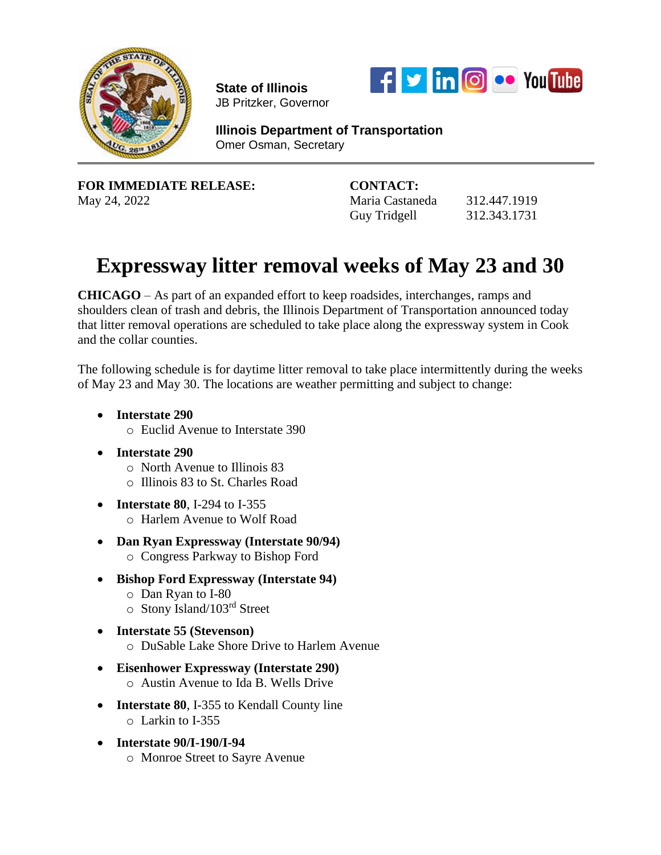

**State of Illinois**  JB Pritzker, Governor



**Illinois Department of Transportation** Omer Osman, Secretary

**FOR IMMEDIATE RELEASE: CONTACT:** May 24, 2022 Maria Castaneda 312.447.1919

Guy Tridgell 312.343.1731

## **Expressway litter removal weeks of May 23 and 30**

**CHICAGO** – As part of an expanded effort to keep roadsides, interchanges, ramps and shoulders clean of trash and debris, the Illinois Department of Transportation announced today that litter removal operations are scheduled to take place along the expressway system in Cook and the collar counties.

The following schedule is for daytime litter removal to take place intermittently during the weeks of May 23 and May 30. The locations are weather permitting and subject to change:

- **Interstate 290**
	- o Euclid Avenue to Interstate 390
- **Interstate 290**
	- o North Avenue to Illinois 83
	- o Illinois 83 to St. Charles Road
- **Interstate 80**, I-294 to I-355 o Harlem Avenue to Wolf Road
- **Dan Ryan Expressway (Interstate 90/94)**
	- o Congress Parkway to Bishop Ford
- **Bishop Ford Expressway (Interstate 94)**
	- o Dan Ryan to I-80
	- o Stony Island/103rd Street
- **Interstate 55 (Stevenson)**  o DuSable Lake Shore Drive to Harlem Avenue
- **Eisenhower Expressway (Interstate 290)** o Austin Avenue to Ida B. Wells Drive
- **Interstate 80**, I-355 to Kendall County line o Larkin to I-355
- **Interstate 90/I-190/I-94**
	- o Monroe Street to Sayre Avenue